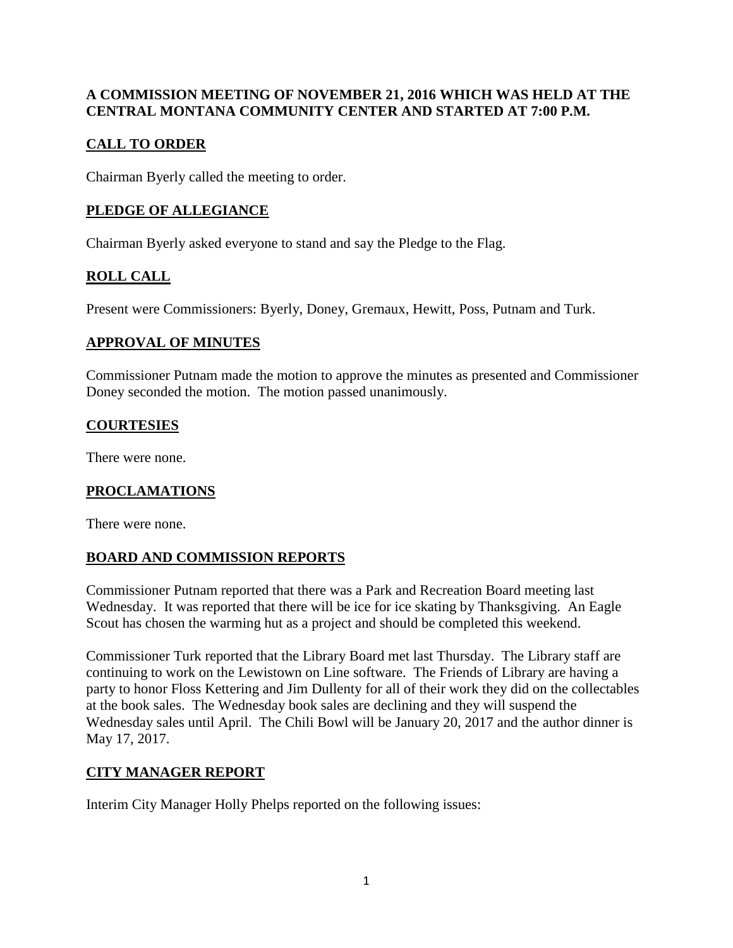### **A COMMISSION MEETING OF NOVEMBER 21, 2016 WHICH WAS HELD AT THE CENTRAL MONTANA COMMUNITY CENTER AND STARTED AT 7:00 P.M.**

## **CALL TO ORDER**

Chairman Byerly called the meeting to order.

# **PLEDGE OF ALLEGIANCE**

Chairman Byerly asked everyone to stand and say the Pledge to the Flag.

# **ROLL CALL**

Present were Commissioners: Byerly, Doney, Gremaux, Hewitt, Poss, Putnam and Turk.

### **APPROVAL OF MINUTES**

Commissioner Putnam made the motion to approve the minutes as presented and Commissioner Doney seconded the motion. The motion passed unanimously.

## **COURTESIES**

There were none.

## **PROCLAMATIONS**

There were none.

## **BOARD AND COMMISSION REPORTS**

Commissioner Putnam reported that there was a Park and Recreation Board meeting last Wednesday. It was reported that there will be ice for ice skating by Thanksgiving. An Eagle Scout has chosen the warming hut as a project and should be completed this weekend.

Commissioner Turk reported that the Library Board met last Thursday. The Library staff are continuing to work on the Lewistown on Line software. The Friends of Library are having a party to honor Floss Kettering and Jim Dullenty for all of their work they did on the collectables at the book sales. The Wednesday book sales are declining and they will suspend the Wednesday sales until April. The Chili Bowl will be January 20, 2017 and the author dinner is May 17, 2017.

## **CITY MANAGER REPORT**

Interim City Manager Holly Phelps reported on the following issues: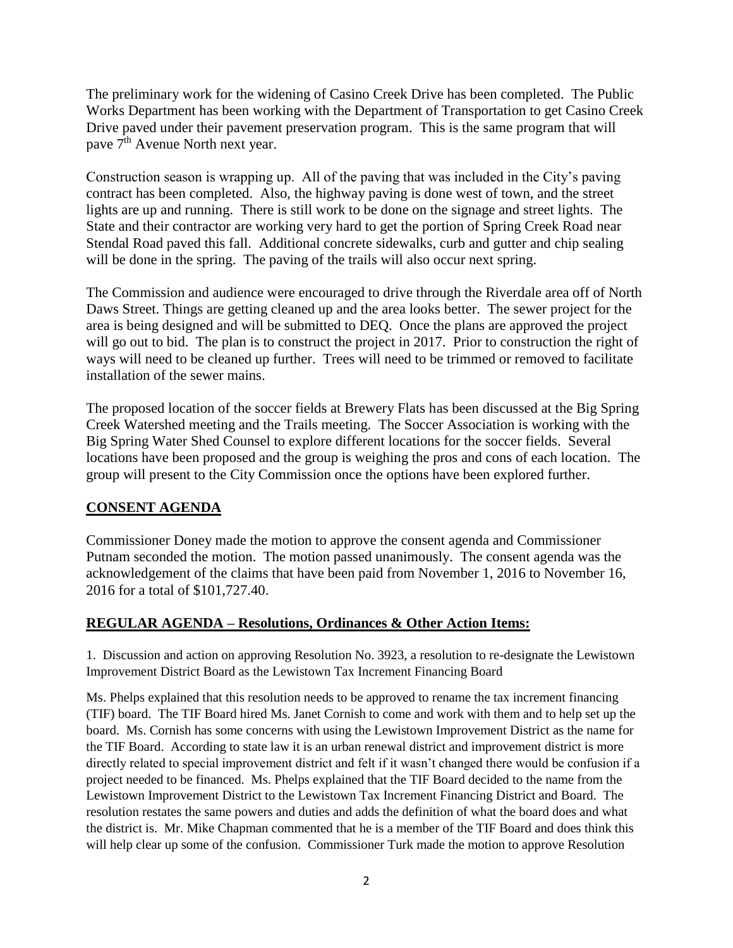The preliminary work for the widening of Casino Creek Drive has been completed. The Public Works Department has been working with the Department of Transportation to get Casino Creek Drive paved under their pavement preservation program. This is the same program that will pave 7<sup>th</sup> Avenue North next year.

Construction season is wrapping up. All of the paving that was included in the City's paving contract has been completed. Also, the highway paving is done west of town, and the street lights are up and running. There is still work to be done on the signage and street lights. The State and their contractor are working very hard to get the portion of Spring Creek Road near Stendal Road paved this fall. Additional concrete sidewalks, curb and gutter and chip sealing will be done in the spring. The paving of the trails will also occur next spring.

The Commission and audience were encouraged to drive through the Riverdale area off of North Daws Street. Things are getting cleaned up and the area looks better. The sewer project for the area is being designed and will be submitted to DEQ. Once the plans are approved the project will go out to bid. The plan is to construct the project in 2017. Prior to construction the right of ways will need to be cleaned up further. Trees will need to be trimmed or removed to facilitate installation of the sewer mains.

The proposed location of the soccer fields at Brewery Flats has been discussed at the Big Spring Creek Watershed meeting and the Trails meeting. The Soccer Association is working with the Big Spring Water Shed Counsel to explore different locations for the soccer fields. Several locations have been proposed and the group is weighing the pros and cons of each location. The group will present to the City Commission once the options have been explored further.

#### **CONSENT AGENDA**

Commissioner Doney made the motion to approve the consent agenda and Commissioner Putnam seconded the motion. The motion passed unanimously. The consent agenda was the acknowledgement of the claims that have been paid from November 1, 2016 to November 16, 2016 for a total of \$101,727.40.

#### **REGULAR AGENDA – Resolutions, Ordinances & Other Action Items:**

1. Discussion and action on approving Resolution No. 3923, a resolution to re-designate the Lewistown Improvement District Board as the Lewistown Tax Increment Financing Board

Ms. Phelps explained that this resolution needs to be approved to rename the tax increment financing (TIF) board. The TIF Board hired Ms. Janet Cornish to come and work with them and to help set up the board. Ms. Cornish has some concerns with using the Lewistown Improvement District as the name for the TIF Board. According to state law it is an urban renewal district and improvement district is more directly related to special improvement district and felt if it wasn't changed there would be confusion if a project needed to be financed. Ms. Phelps explained that the TIF Board decided to the name from the Lewistown Improvement District to the Lewistown Tax Increment Financing District and Board. The resolution restates the same powers and duties and adds the definition of what the board does and what the district is. Mr. Mike Chapman commented that he is a member of the TIF Board and does think this will help clear up some of the confusion. Commissioner Turk made the motion to approve Resolution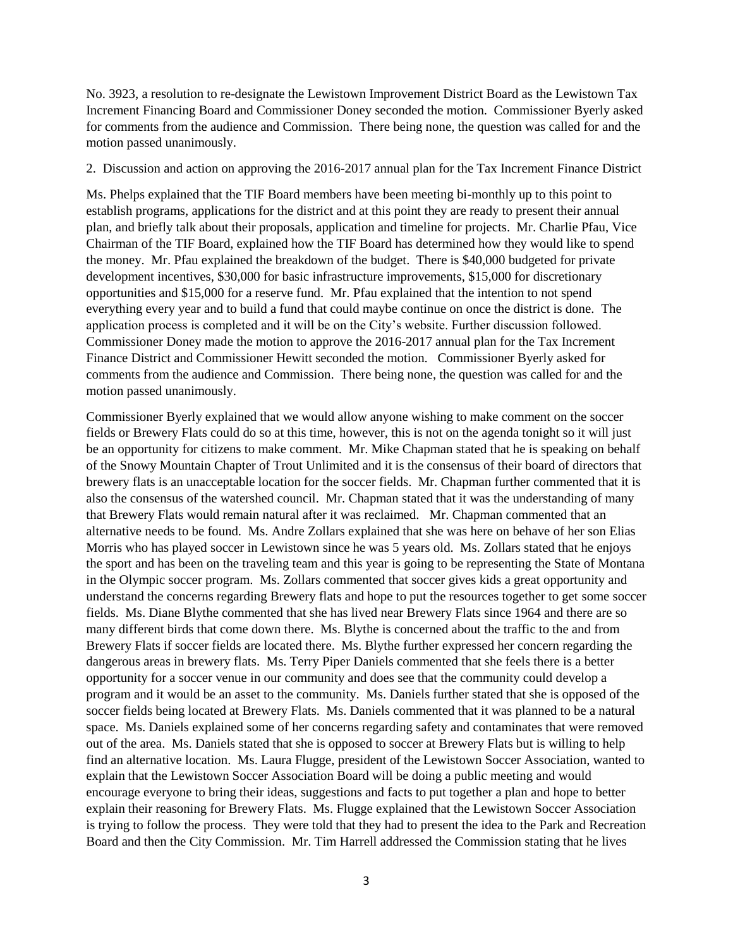No. 3923, a resolution to re-designate the Lewistown Improvement District Board as the Lewistown Tax Increment Financing Board and Commissioner Doney seconded the motion. Commissioner Byerly asked for comments from the audience and Commission. There being none, the question was called for and the motion passed unanimously.

2. Discussion and action on approving the 2016-2017 annual plan for the Tax Increment Finance District

Ms. Phelps explained that the TIF Board members have been meeting bi-monthly up to this point to establish programs, applications for the district and at this point they are ready to present their annual plan, and briefly talk about their proposals, application and timeline for projects. Mr. Charlie Pfau, Vice Chairman of the TIF Board, explained how the TIF Board has determined how they would like to spend the money. Mr. Pfau explained the breakdown of the budget. There is \$40,000 budgeted for private development incentives, \$30,000 for basic infrastructure improvements, \$15,000 for discretionary opportunities and \$15,000 for a reserve fund. Mr. Pfau explained that the intention to not spend everything every year and to build a fund that could maybe continue on once the district is done. The application process is completed and it will be on the City's website. Further discussion followed. Commissioner Doney made the motion to approve the 2016-2017 annual plan for the Tax Increment Finance District and Commissioner Hewitt seconded the motion. Commissioner Byerly asked for comments from the audience and Commission. There being none, the question was called for and the motion passed unanimously.

Commissioner Byerly explained that we would allow anyone wishing to make comment on the soccer fields or Brewery Flats could do so at this time, however, this is not on the agenda tonight so it will just be an opportunity for citizens to make comment. Mr. Mike Chapman stated that he is speaking on behalf of the Snowy Mountain Chapter of Trout Unlimited and it is the consensus of their board of directors that brewery flats is an unacceptable location for the soccer fields. Mr. Chapman further commented that it is also the consensus of the watershed council. Mr. Chapman stated that it was the understanding of many that Brewery Flats would remain natural after it was reclaimed. Mr. Chapman commented that an alternative needs to be found. Ms. Andre Zollars explained that she was here on behave of her son Elias Morris who has played soccer in Lewistown since he was 5 years old. Ms. Zollars stated that he enjoys the sport and has been on the traveling team and this year is going to be representing the State of Montana in the Olympic soccer program. Ms. Zollars commented that soccer gives kids a great opportunity and understand the concerns regarding Brewery flats and hope to put the resources together to get some soccer fields. Ms. Diane Blythe commented that she has lived near Brewery Flats since 1964 and there are so many different birds that come down there. Ms. Blythe is concerned about the traffic to the and from Brewery Flats if soccer fields are located there. Ms. Blythe further expressed her concern regarding the dangerous areas in brewery flats. Ms. Terry Piper Daniels commented that she feels there is a better opportunity for a soccer venue in our community and does see that the community could develop a program and it would be an asset to the community. Ms. Daniels further stated that she is opposed of the soccer fields being located at Brewery Flats. Ms. Daniels commented that it was planned to be a natural space. Ms. Daniels explained some of her concerns regarding safety and contaminates that were removed out of the area. Ms. Daniels stated that she is opposed to soccer at Brewery Flats but is willing to help find an alternative location. Ms. Laura Flugge, president of the Lewistown Soccer Association, wanted to explain that the Lewistown Soccer Association Board will be doing a public meeting and would encourage everyone to bring their ideas, suggestions and facts to put together a plan and hope to better explain their reasoning for Brewery Flats. Ms. Flugge explained that the Lewistown Soccer Association is trying to follow the process. They were told that they had to present the idea to the Park and Recreation Board and then the City Commission. Mr. Tim Harrell addressed the Commission stating that he lives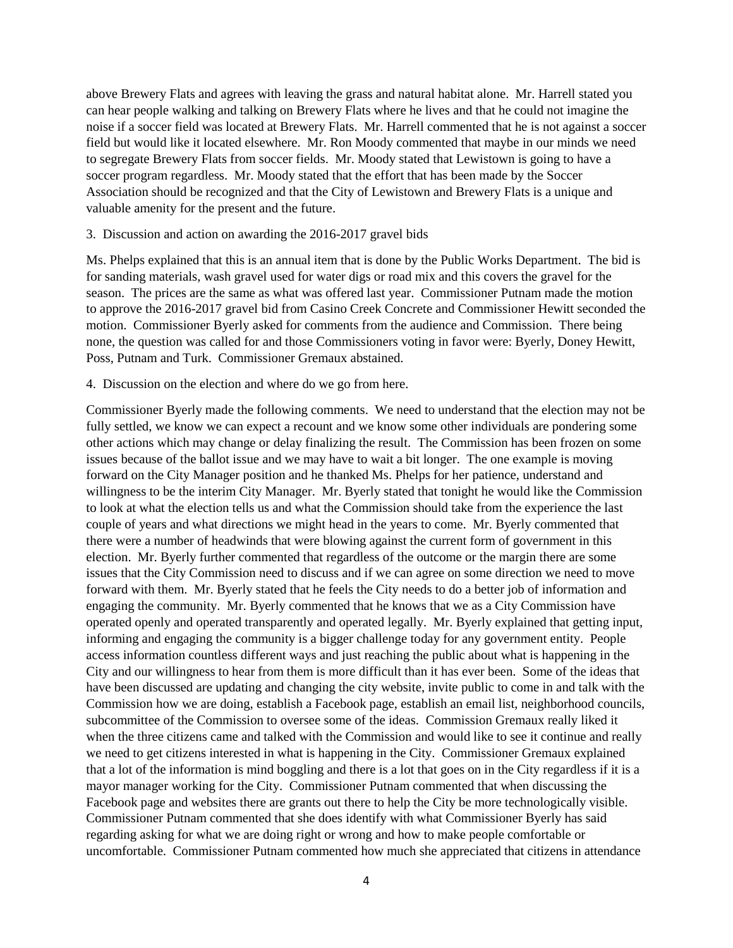above Brewery Flats and agrees with leaving the grass and natural habitat alone. Mr. Harrell stated you can hear people walking and talking on Brewery Flats where he lives and that he could not imagine the noise if a soccer field was located at Brewery Flats. Mr. Harrell commented that he is not against a soccer field but would like it located elsewhere. Mr. Ron Moody commented that maybe in our minds we need to segregate Brewery Flats from soccer fields. Mr. Moody stated that Lewistown is going to have a soccer program regardless. Mr. Moody stated that the effort that has been made by the Soccer Association should be recognized and that the City of Lewistown and Brewery Flats is a unique and valuable amenity for the present and the future.

#### 3. Discussion and action on awarding the 2016-2017 gravel bids

Ms. Phelps explained that this is an annual item that is done by the Public Works Department. The bid is for sanding materials, wash gravel used for water digs or road mix and this covers the gravel for the season. The prices are the same as what was offered last year. Commissioner Putnam made the motion to approve the 2016-2017 gravel bid from Casino Creek Concrete and Commissioner Hewitt seconded the motion. Commissioner Byerly asked for comments from the audience and Commission. There being none, the question was called for and those Commissioners voting in favor were: Byerly, Doney Hewitt, Poss, Putnam and Turk. Commissioner Gremaux abstained.

4. Discussion on the election and where do we go from here.

Commissioner Byerly made the following comments. We need to understand that the election may not be fully settled, we know we can expect a recount and we know some other individuals are pondering some other actions which may change or delay finalizing the result. The Commission has been frozen on some issues because of the ballot issue and we may have to wait a bit longer. The one example is moving forward on the City Manager position and he thanked Ms. Phelps for her patience, understand and willingness to be the interim City Manager. Mr. Byerly stated that tonight he would like the Commission to look at what the election tells us and what the Commission should take from the experience the last couple of years and what directions we might head in the years to come. Mr. Byerly commented that there were a number of headwinds that were blowing against the current form of government in this election. Mr. Byerly further commented that regardless of the outcome or the margin there are some issues that the City Commission need to discuss and if we can agree on some direction we need to move forward with them. Mr. Byerly stated that he feels the City needs to do a better job of information and engaging the community. Mr. Byerly commented that he knows that we as a City Commission have operated openly and operated transparently and operated legally. Mr. Byerly explained that getting input, informing and engaging the community is a bigger challenge today for any government entity. People access information countless different ways and just reaching the public about what is happening in the City and our willingness to hear from them is more difficult than it has ever been. Some of the ideas that have been discussed are updating and changing the city website, invite public to come in and talk with the Commission how we are doing, establish a Facebook page, establish an email list, neighborhood councils, subcommittee of the Commission to oversee some of the ideas. Commission Gremaux really liked it when the three citizens came and talked with the Commission and would like to see it continue and really we need to get citizens interested in what is happening in the City. Commissioner Gremaux explained that a lot of the information is mind boggling and there is a lot that goes on in the City regardless if it is a mayor manager working for the City. Commissioner Putnam commented that when discussing the Facebook page and websites there are grants out there to help the City be more technologically visible. Commissioner Putnam commented that she does identify with what Commissioner Byerly has said regarding asking for what we are doing right or wrong and how to make people comfortable or uncomfortable. Commissioner Putnam commented how much she appreciated that citizens in attendance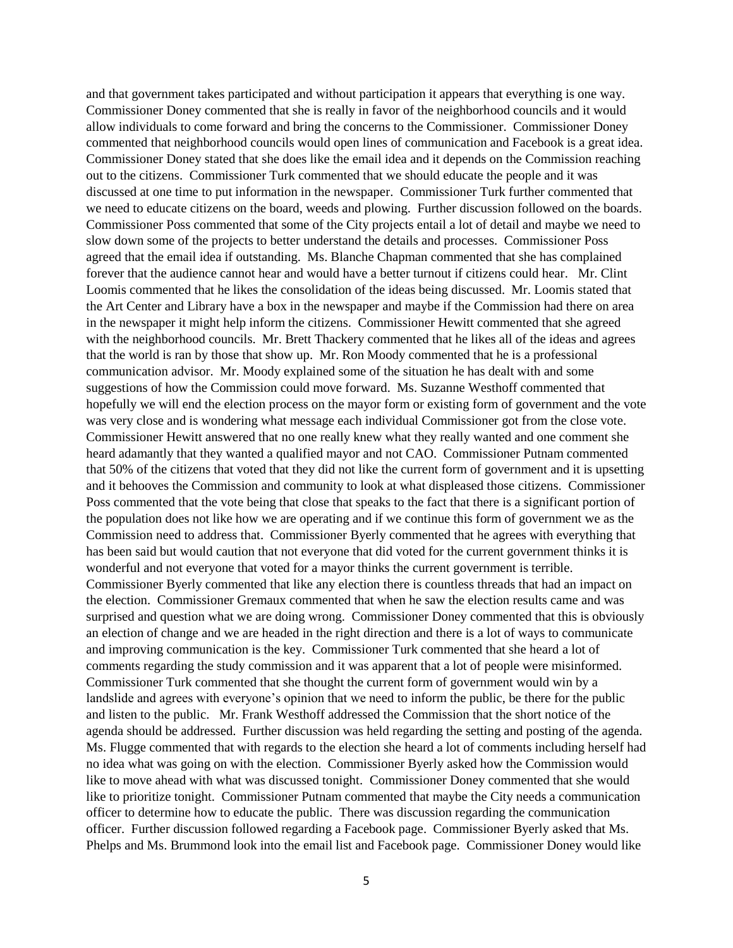and that government takes participated and without participation it appears that everything is one way. Commissioner Doney commented that she is really in favor of the neighborhood councils and it would allow individuals to come forward and bring the concerns to the Commissioner. Commissioner Doney commented that neighborhood councils would open lines of communication and Facebook is a great idea. Commissioner Doney stated that she does like the email idea and it depends on the Commission reaching out to the citizens. Commissioner Turk commented that we should educate the people and it was discussed at one time to put information in the newspaper. Commissioner Turk further commented that we need to educate citizens on the board, weeds and plowing. Further discussion followed on the boards. Commissioner Poss commented that some of the City projects entail a lot of detail and maybe we need to slow down some of the projects to better understand the details and processes. Commissioner Poss agreed that the email idea if outstanding. Ms. Blanche Chapman commented that she has complained forever that the audience cannot hear and would have a better turnout if citizens could hear. Mr. Clint Loomis commented that he likes the consolidation of the ideas being discussed. Mr. Loomis stated that the Art Center and Library have a box in the newspaper and maybe if the Commission had there on area in the newspaper it might help inform the citizens. Commissioner Hewitt commented that she agreed with the neighborhood councils. Mr. Brett Thackery commented that he likes all of the ideas and agrees that the world is ran by those that show up. Mr. Ron Moody commented that he is a professional communication advisor. Mr. Moody explained some of the situation he has dealt with and some suggestions of how the Commission could move forward. Ms. Suzanne Westhoff commented that hopefully we will end the election process on the mayor form or existing form of government and the vote was very close and is wondering what message each individual Commissioner got from the close vote. Commissioner Hewitt answered that no one really knew what they really wanted and one comment she heard adamantly that they wanted a qualified mayor and not CAO. Commissioner Putnam commented that 50% of the citizens that voted that they did not like the current form of government and it is upsetting and it behooves the Commission and community to look at what displeased those citizens. Commissioner Poss commented that the vote being that close that speaks to the fact that there is a significant portion of the population does not like how we are operating and if we continue this form of government we as the Commission need to address that. Commissioner Byerly commented that he agrees with everything that has been said but would caution that not everyone that did voted for the current government thinks it is wonderful and not everyone that voted for a mayor thinks the current government is terrible. Commissioner Byerly commented that like any election there is countless threads that had an impact on the election. Commissioner Gremaux commented that when he saw the election results came and was surprised and question what we are doing wrong. Commissioner Doney commented that this is obviously an election of change and we are headed in the right direction and there is a lot of ways to communicate and improving communication is the key. Commissioner Turk commented that she heard a lot of comments regarding the study commission and it was apparent that a lot of people were misinformed. Commissioner Turk commented that she thought the current form of government would win by a landslide and agrees with everyone's opinion that we need to inform the public, be there for the public and listen to the public. Mr. Frank Westhoff addressed the Commission that the short notice of the agenda should be addressed. Further discussion was held regarding the setting and posting of the agenda. Ms. Flugge commented that with regards to the election she heard a lot of comments including herself had no idea what was going on with the election. Commissioner Byerly asked how the Commission would like to move ahead with what was discussed tonight. Commissioner Doney commented that she would like to prioritize tonight. Commissioner Putnam commented that maybe the City needs a communication officer to determine how to educate the public. There was discussion regarding the communication officer. Further discussion followed regarding a Facebook page. Commissioner Byerly asked that Ms. Phelps and Ms. Brummond look into the email list and Facebook page. Commissioner Doney would like